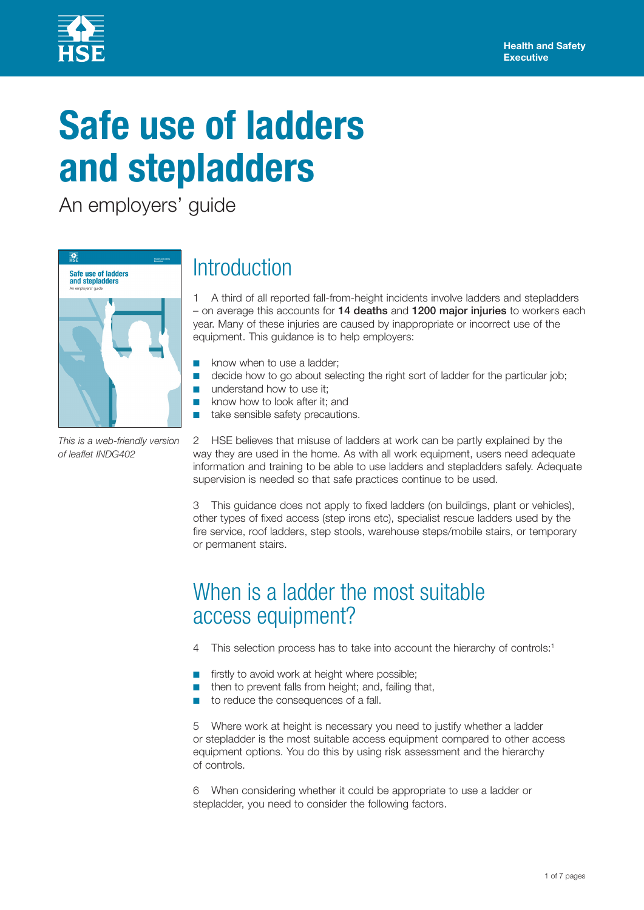

# **Safe use of ladders and stepladders**

An employers' guide



*This is a web-friendly version of leaflet INDG402*

# **Introduction**

1 A third of all reported fall-from-height incidents involve ladders and stepladders – on average this accounts for 14 deaths and 1200 major injuries to workers each year. Many of these injuries are caused by inappropriate or incorrect use of the equipment. This guidance is to help employers:

- know when to use a ladder:
- decide how to go about selecting the right sort of ladder for the particular iob:
- understand how to use it:
- know how to look after it; and
- take sensible safety precautions.

2 HSE believes that misuse of ladders at work can be partly explained by the way they are used in the home. As with all work equipment, users need adequate information and training to be able to use ladders and stepladders safely. Adequate supervision is needed so that safe practices continue to be used.

3 This guidance does not apply to fixed ladders (on buildings, plant or vehicles), other types of fixed access (step irons etc), specialist rescue ladders used by the fire service, roof ladders, step stools, warehouse steps/mobile stairs, or temporary or permanent stairs.

### When is a ladder the most suitable access equipment?

- 4 This selection process has to take into account the hierarchy of controls:<sup>1</sup>
- firstly to avoid work at height where possible;
- then to prevent falls from height; and, failing that,
- to reduce the consequences of a fall.

5 Where work at height is necessary you need to justify whether a ladder or stepladder is the most suitable access equipment compared to other access equipment options. You do this by using risk assessment and the hierarchy of controls.

6 When considering whether it could be appropriate to use a ladder or stepladder, you need to consider the following factors.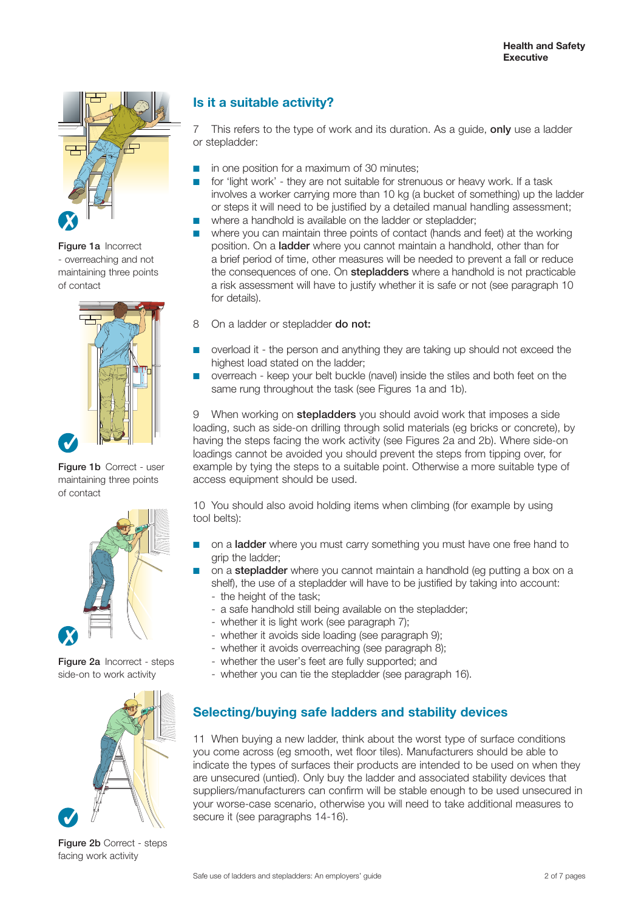

Figure 1a Incorrect - overreaching and not maintaining three points of contact



Figure 1b Correct - user maintaining three points of contact



Figure 2a Incorrect - steps side-on to work activity



Figure 2b Correct - steps facing work activity

### **Is it a suitable activity?**

7 This refers to the type of work and its duration. As a quide, only use a ladder or stepladder:

- in one position for a maximum of 30 minutes;
- for 'light work' they are not suitable for strenuous or heavy work. If a task involves a worker carrying more than 10 kg (a bucket of something) up the ladder or steps it will need to be justified by a detailed manual handling assessment;
- where a handhold is available on the ladder or stepladder:
- where you can maintain three points of contact (hands and feet) at the working position. On a ladder where you cannot maintain a handhold, other than for a brief period of time, other measures will be needed to prevent a fall or reduce the consequences of one. On **stepladders** where a handhold is not practicable a risk assessment will have to justify whether it is safe or not (see paragraph 10 for details).
- 8 On a ladder or stepladder **do not:**
- overload it the person and anything they are taking up should not exceed the highest load stated on the ladder;
- overreach keep your belt buckle (navel) inside the stiles and both feet on the same rung throughout the task (see Figures 1a and 1b).

9 When working on **stepladders** you should avoid work that imposes a side loading, such as side-on drilling through solid materials (eg bricks or concrete), by having the steps facing the work activity (see Figures 2a and 2b). Where side-on loadings cannot be avoided you should prevent the steps from tipping over, for example by tying the steps to a suitable point. Otherwise a more suitable type of access equipment should be used.

10 You should also avoid holding items when climbing (for example by using tool belts):

- on a ladder where you must carry something you must have one free hand to grip the ladder;
- on a **stepladder** where you cannot maintain a handhold (eq putting a box on a shelf), the use of a stepladder will have to be justified by taking into account:
	- the height of the task;
	- a safe handhold still being available on the stepladder;
	- whether it is light work (see paragraph 7);
	- whether it avoids side loading (see paragraph 9);
	- whether it avoids overreaching (see paragraph 8);
	- whether the user's feet are fully supported; and
	- whether you can tie the stepladder (see paragraph 16).

### **Selecting/buying safe ladders and stability devices**

11 When buying a new ladder, think about the worst type of surface conditions you come across (eg smooth, wet floor tiles). Manufacturers should be able to indicate the types of surfaces their products are intended to be used on when they are unsecured (untied). Only buy the ladder and associated stability devices that suppliers/manufacturers can confirm will be stable enough to be used unsecured in your worse-case scenario, otherwise you will need to take additional measures to secure it (see paragraphs 14-16).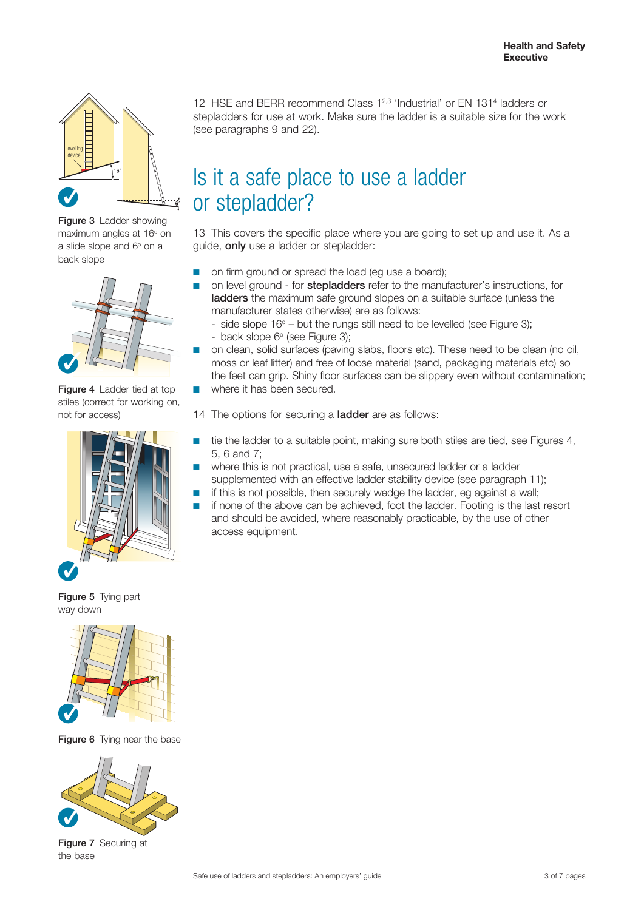

Figure 3 Ladder showing maximum angles at 16° on a slide slope and 6° on a back slope



Figure 4 Ladder tied at top stiles (correct for working on, not for access)



Figure 5 Tying part way down



Figure 6 Tying near the base



Figure 7 Securing at the base

12 HSE and BERR recommend Class 1<sup>2,3</sup> 'Industrial' or EN 131<sup>4</sup> ladders or stepladders for use at work. Make sure the ladder is a suitable size for the work (see paragraphs 9 and 22).

# Is it a safe place to use a ladder or stepladder?

13 This covers the specific place where you are going to set up and use it. As a guide, only use a ladder or stepladder:

- on firm ground or spread the load (eg use a board);
- on level ground for **stepladders** refer to the manufacturer's instructions, for ladders the maximum safe ground slopes on a suitable surface (unless the manufacturer states otherwise) are as follows:
	- side slope  $16^{\circ}$  but the rungs still need to be levelled (see Figure 3); - back slope 6° (see Figure 3);
- on clean, solid surfaces (paving slabs, floors etc). These need to be clean (no oil, moss or leaf litter) and free of loose material (sand, packaging materials etc) so the feet can grip. Shiny floor surfaces can be slippery even without contamination;
- where it has been secured.

14 The options for securing a **ladder** are as follows:

- tie the ladder to a suitable point, making sure both stiles are tied, see Figures 4, 5, 6 and 7;
	- where this is not practical, use a safe, unsecured ladder or a ladder supplemented with an effective ladder stability device (see paragraph 11);
- if this is not possible, then securely wedge the ladder, eg against a wall;
- if none of the above can be achieved, foot the ladder. Footing is the last resort and should be avoided, where reasonably practicable, by the use of other access equipment.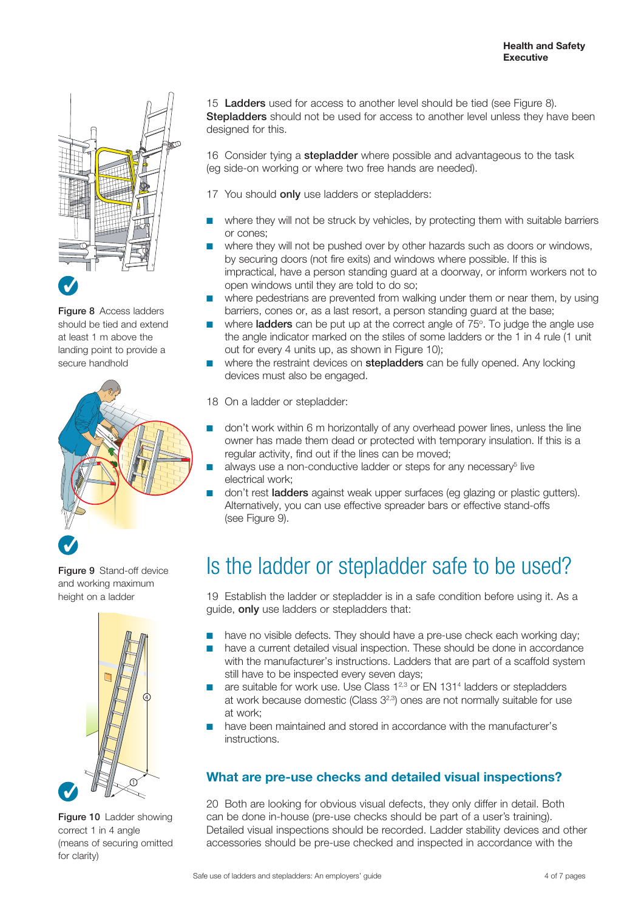

Figure 8 Access ladders should be tied and extend at least 1 m above the landing point to provide a secure handhold



Figure 9 Stand-off device and working maximum height on a ladder



Figure 10 Ladder showing correct 1 in 4 angle (means of securing omitted for clarity)

15 Ladders used for access to another level should be tied (see Figure 8). Stepladders should not be used for access to another level unless they have been designed for this.

16 Consider tying a **stepladder** where possible and advantageous to the task (eg side-on working or where two free hands are needed).

- 17 You should **only** use ladders or stepladders:
- where they will not be struck by vehicles, by protecting them with suitable barriers or cones;
- where they will not be pushed over by other hazards such as doors or windows. by securing doors (not fire exits) and windows where possible. If this is impractical, have a person standing guard at a doorway, or inform workers not to open windows until they are told to do so;
- where pedestrians are prevented from walking under them or near them, by using barriers, cones or, as a last resort, a person standing guard at the base;
- where **ladders** can be put up at the correct angle of 75°. To judge the angle use the angle indicator marked on the stiles of some ladders or the 1 in 4 rule (1 unit out for every 4 units up, as shown in Figure 10);
- where the restraint devices on **stepladders** can be fully opened. Any locking devices must also be engaged.
- 18 On a ladder or stepladder:
- don't work within 6 m horizontally of any overhead power lines, unless the line owner has made them dead or protected with temporary insulation. If this is a regular activity, find out if the lines can be moved;
- $\blacksquare$  always use a non-conductive ladder or steps for any necessary<sup>5</sup> live electrical work;
- don't rest **ladders** against weak upper surfaces (eg glazing or plastic gutters). Alternatively, you can use effective spreader bars or effective stand-offs (see Figure 9).

## Is the ladder or stepladder safe to be used?

19 Establish the ladder or stepladder is in a safe condition before using it. As a guide, only use ladders or stepladders that:

- have no visible defects. They should have a pre-use check each working day;
- have a current detailed visual inspection. These should be done in accordance with the manufacturer's instructions. Ladders that are part of a scaffold system still have to be inspected every seven days;
- are suitable for work use. Use Class 1<sup>2,3</sup> or EN 131<sup>4</sup> ladders or stepladders at work because domestic (Class 32,3) ones are not normally suitable for use at work;
- have been maintained and stored in accordance with the manufacturer's instructions.

### **What are pre-use checks and detailed visual inspections?**

20 Both are looking for obvious visual defects, they only differ in detail. Both can be done in-house (pre-use checks should be part of a user's training). Detailed visual inspections should be recorded. Ladder stability devices and other accessories should be pre-use checked and inspected in accordance with the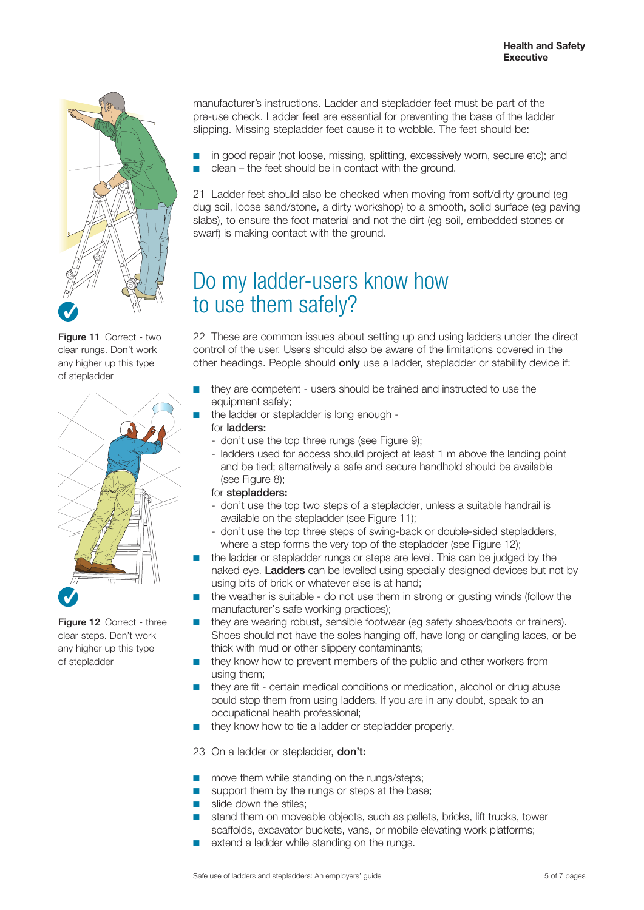

Figure 11 Correct - two clear rungs. Don't work any higher up this type of stepladder



Figure 12 Correct - three clear steps. Don't work any higher up this type of stepladder

manufacturer's instructions. Ladder and stepladder feet must be part of the pre-use check. Ladder feet are essential for preventing the base of the ladder slipping. Missing stepladder feet cause it to wobble. The feet should be:

in good repair (not loose, missing, splitting, excessively worn, secure etc); and  $clean - the feet should be in contact with the ground.$ 

21 Ladder feet should also be checked when moving from soft/dirty ground (eg dug soil, loose sand/stone, a dirty workshop) to a smooth, solid surface (eg paving slabs), to ensure the foot material and not the dirt (eg soil, embedded stones or swarf) is making contact with the ground.

## Do my ladder-users know how to use them safely?

22 These are common issues about setting up and using ladders under the direct control of the user. Users should also be aware of the limitations covered in the other headings. People should only use a ladder, stepladder or stability device if:

- they are competent users should be trained and instructed to use the equipment safely;
- the ladder or stepladder is long enough -
- for ladders:
	- don't use the top three rungs (see Figure 9);
	- ladders used for access should project at least 1 m above the landing point and be tied; alternatively a safe and secure handhold should be available (see Figure 8);
- for stepladders:
- don't use the top two steps of a stepladder, unless a suitable handrail is available on the stepladder (see Figure 11);
- don't use the top three steps of swing-back or double-sided stepladders, where a step forms the very top of the stepladder (see Figure 12);
- the ladder or stepladder rungs or steps are level. This can be judged by the naked eye. Ladders can be levelled using specially designed devices but not by using bits of brick or whatever else is at hand;
- the weather is suitable do not use them in strong or gusting winds (follow the manufacturer's safe working practices);
- they are wearing robust, sensible footwear (eg safety shoes/boots or trainers). Shoes should not have the soles hanging off, have long or dangling laces, or be thick with mud or other slippery contaminants;
- they know how to prevent members of the public and other workers from using them;
- they are fit certain medical conditions or medication, alcohol or drug abuse could stop them from using ladders. If you are in any doubt, speak to an occupational health professional;
- they know how to tie a ladder or stepladder properly.

23 On a ladder or stepladder, **don't:** 

- move them while standing on the rungs/steps;
- support them by the rungs or steps at the base;
- slide down the stiles;
- stand them on moveable objects, such as pallets, bricks, lift trucks, tower scaffolds, excavator buckets, vans, or mobile elevating work platforms;
- extend a ladder while standing on the rungs.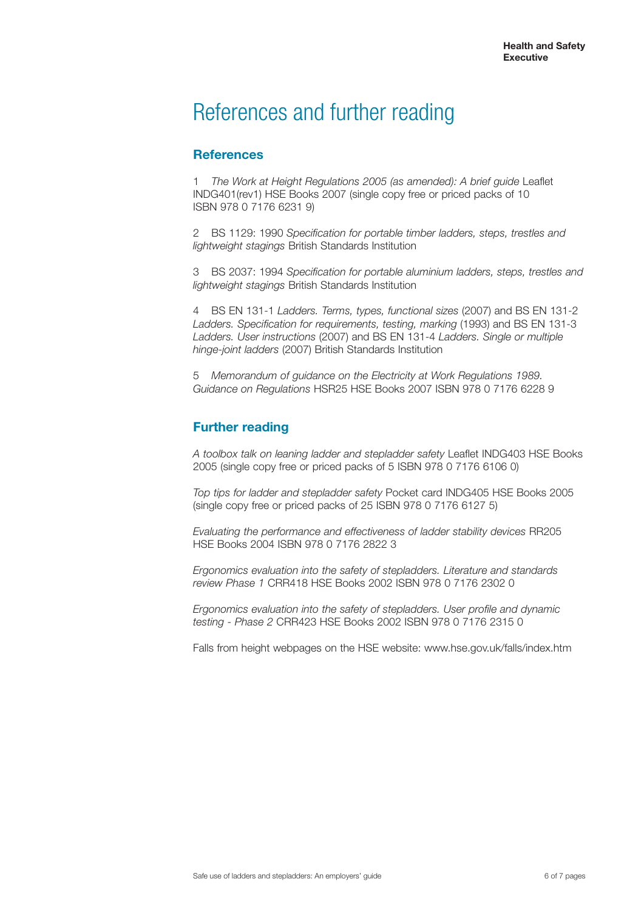### References and further reading

#### **References**

1 *The Work at Height Regulations 2005 (as amended): A brief guide* Leaflet INDG401(rev1) HSE Books 2007 (single copy free or priced packs of 10 ISBN 978 0 7176 6231 9)

2 BS 1129: 1990 *Specification for portable timber ladders, steps, trestles and lightweight stagings* British Standards Institution

3 BS 2037: 1994 *Specification for portable aluminium ladders, steps, trestles and lightweight stagings* British Standards Institution

4 BS EN 131-1 *Ladders. Terms, types, functional sizes* (2007) and BS EN 131-2 *Ladders. Specification for requirements, testing, marking* (1993) and BS EN 131-3 *Ladders. User instructions* (2007) and BS EN 131-4 *Ladders. Single or multiple hinge-joint ladders* (2007) British Standards Institution

5 *Memorandum of guidance on the Electricity at Work Regulations 1989. Guidance on Regulations* HSR25 HSE Books 2007 ISBN 978 0 7176 6228 9

#### **Further reading**

*A toolbox talk on leaning ladder and stepladder safety* Leaflet INDG403 HSE Books 2005 (single copy free or priced packs of 5 ISBN 978 0 7176 6106 0)

*Top tips for ladder and stepladder safety* Pocket card INDG405 HSE Books 2005 (single copy free or priced packs of 25 ISBN 978 0 7176 6127 5)

*Evaluating the performance and effectiveness of ladder stability devices* RR205 HSE Books 2004 ISBN 978 0 7176 2822 3

*Ergonomics evaluation into the safety of stepladders. Literature and standards review Phase 1* CRR418 HSE Books 2002 ISBN 978 0 7176 2302 0

*Ergonomics evaluation into the safety of stepladders. User profile and dynamic testing - Phase 2* CRR423 HSE Books 2002 ISBN 978 0 7176 2315 0

Falls from height webpages on the HSE website: www.hse.gov.uk/falls/index.htm